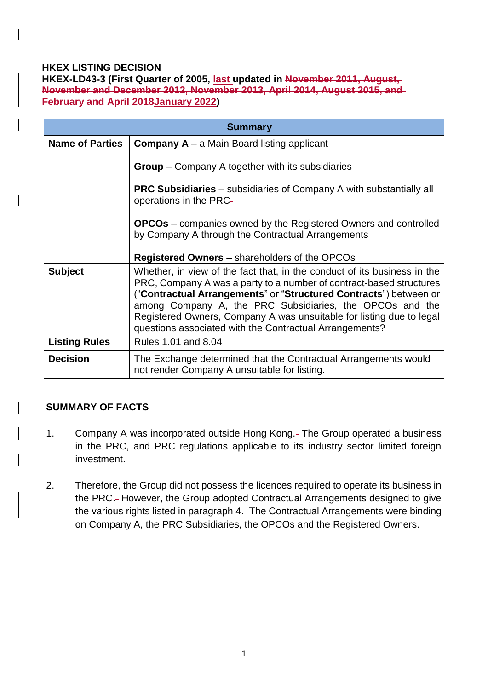# **HKEX LISTING DECISION**

**HKEX-LD43-3 (First Quarter of 2005, last updated in November 2011, August, November and December 2012, November 2013, April 2014, August 2015, and February and April 2018January 2022)**

| <b>Summary</b>         |                                                                                                                                                                                                                                                                                                                                                                                                                     |
|------------------------|---------------------------------------------------------------------------------------------------------------------------------------------------------------------------------------------------------------------------------------------------------------------------------------------------------------------------------------------------------------------------------------------------------------------|
| <b>Name of Parties</b> | <b>Company A</b> – a Main Board listing applicant                                                                                                                                                                                                                                                                                                                                                                   |
|                        | <b>Group</b> – Company A together with its subsidiaries                                                                                                                                                                                                                                                                                                                                                             |
|                        | <b>PRC Subsidiaries</b> – subsidiaries of Company A with substantially all<br>operations in the PRC-                                                                                                                                                                                                                                                                                                                |
|                        | <b>OPCOs</b> – companies owned by the Registered Owners and controlled<br>by Company A through the Contractual Arrangements                                                                                                                                                                                                                                                                                         |
|                        | <b>Registered Owners</b> – shareholders of the OPCOs                                                                                                                                                                                                                                                                                                                                                                |
| <b>Subject</b>         | Whether, in view of the fact that, in the conduct of its business in the<br>PRC, Company A was a party to a number of contract-based structures<br>("Contractual Arrangements" or "Structured Contracts") between or<br>among Company A, the PRC Subsidiaries, the OPCOs and the<br>Registered Owners, Company A was unsuitable for listing due to legal<br>questions associated with the Contractual Arrangements? |
| <b>Listing Rules</b>   | Rules 1.01 and 8.04                                                                                                                                                                                                                                                                                                                                                                                                 |
| <b>Decision</b>        | The Exchange determined that the Contractual Arrangements would<br>not render Company A unsuitable for listing.                                                                                                                                                                                                                                                                                                     |

## **SUMMARY OF FACTS**

- 1. Company A was incorporated outside Hong Kong. The Group operated a business in the PRC, and PRC regulations applicable to its industry sector limited foreign investment.
- 2. Therefore, the Group did not possess the licences required to operate its business in the PRC. However, the Group adopted Contractual Arrangements designed to give the various rights listed in paragraph 4. The Contractual Arrangements were binding on Company A, the PRC Subsidiaries, the OPCOs and the Registered Owners.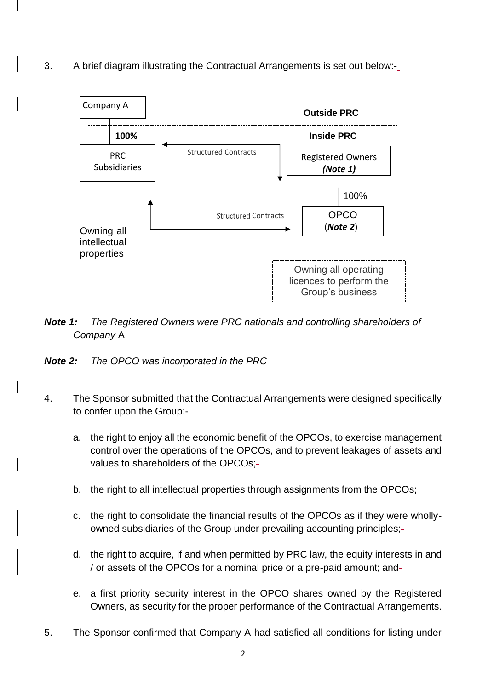3. A brief diagram illustrating the Contractual Arrangements is set out below:-



- *Note 1: The Registered Owners were PRC nationals and controlling shareholders of Company* A
- *Note 2: The OPCO was incorporated in the PRC*
- 4. The Sponsor submitted that the Contractual Arrangements were designed specifically to confer upon the Group:
	- a. the right to enjoy all the economic benefit of the OPCOs, to exercise management control over the operations of the OPCOs, and to prevent leakages of assets and values to shareholders of the OPCOs;
	- b. the right to all intellectual properties through assignments from the OPCOs;
	- c. the right to consolidate the financial results of the OPCOs as if they were whollyowned subsidiaries of the Group under prevailing accounting principles;
	- d. the right to acquire, if and when permitted by PRC law, the equity interests in and / or assets of the OPCOs for a nominal price or a pre-paid amount; and
	- e. a first priority security interest in the OPCO shares owned by the Registered Owners, as security for the proper performance of the Contractual Arrangements.
- 5. The Sponsor confirmed that Company A had satisfied all conditions for listing under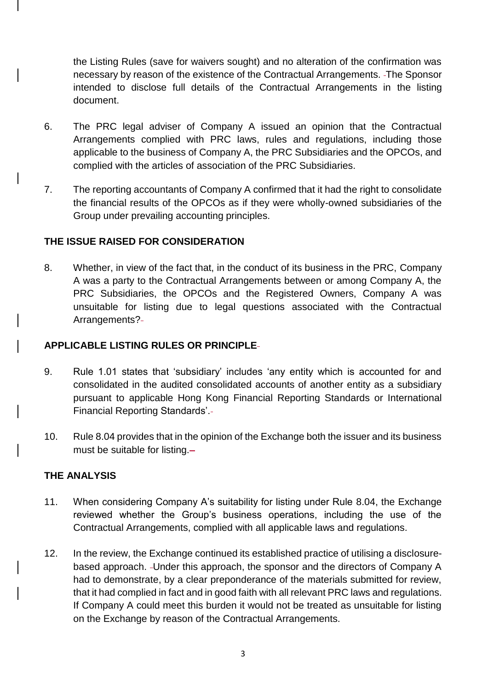the Listing Rules (save for waivers sought) and no alteration of the confirmation was necessary by reason of the existence of the Contractual Arrangements. The Sponsor intended to disclose full details of the Contractual Arrangements in the listing document.

- 6. The PRC legal adviser of Company A issued an opinion that the Contractual Arrangements complied with PRC laws, rules and regulations, including those applicable to the business of Company A, the PRC Subsidiaries and the OPCOs, and complied with the articles of association of the PRC Subsidiaries.
- 7. The reporting accountants of Company A confirmed that it had the right to consolidate the financial results of the OPCOs as if they were wholly-owned subsidiaries of the Group under prevailing accounting principles.

## **THE ISSUE RAISED FOR CONSIDERATION**

8. Whether, in view of the fact that, in the conduct of its business in the PRC, Company A was a party to the Contractual Arrangements between or among Company A, the PRC Subsidiaries, the OPCOs and the Registered Owners, Company A was unsuitable for listing due to legal questions associated with the Contractual Arrangements?

# **APPLICABLE LISTING RULES OR PRINCIPLE**

- 9. Rule 1.01 states that 'subsidiary' includes 'any entity which is accounted for and consolidated in the audited consolidated accounts of another entity as a subsidiary pursuant to applicable Hong Kong Financial Reporting Standards or International Financial Reporting Standards'.
- 10. Rule 8.04 provides that in the opinion of the Exchange both the issuer and its business must be suitable for listing.

## **THE ANALYSIS**

- 11. When considering Company A's suitability for listing under Rule 8.04, the Exchange reviewed whether the Group's business operations, including the use of the Contractual Arrangements, complied with all applicable laws and regulations.
- 12. In the review, the Exchange continued its established practice of utilising a disclosurebased approach. Under this approach, the sponsor and the directors of Company A had to demonstrate, by a clear preponderance of the materials submitted for review, that it had complied in fact and in good faith with all relevant PRC laws and regulations. If Company A could meet this burden it would not be treated as unsuitable for listing on the Exchange by reason of the Contractual Arrangements.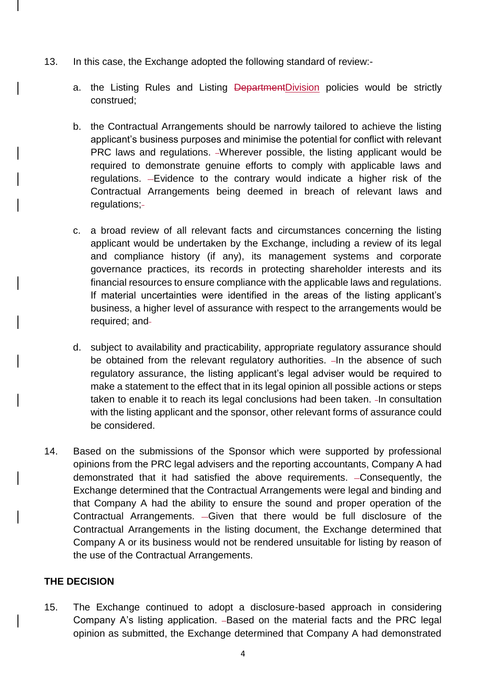- 13. In this case, the Exchange adopted the following standard of review:
	- a. the Listing Rules and Listing **DepartmentDivision** policies would be strictly construed;
	- b. the Contractual Arrangements should be narrowly tailored to achieve the listing applicant's business purposes and minimise the potential for conflict with relevant PRC laws and regulations. Wherever possible, the listing applicant would be required to demonstrate genuine efforts to comply with applicable laws and regulations. Evidence to the contrary would indicate a higher risk of the Contractual Arrangements being deemed in breach of relevant laws and regulations;
	- c. a broad review of all relevant facts and circumstances concerning the listing applicant would be undertaken by the Exchange, including a review of its legal and compliance history (if any), its management systems and corporate governance practices, its records in protecting shareholder interests and its financial resources to ensure compliance with the applicable laws and regulations. If material uncertainties were identified in the areas of the listing applicant's business, a higher level of assurance with respect to the arrangements would be required; and
	- d. subject to availability and practicability, appropriate regulatory assurance should be obtained from the relevant regulatory authorities.  $-In$  the absence of such regulatory assurance, the listing applicant's legal adviser would be required to make a statement to the effect that in its legal opinion all possible actions or steps taken to enable it to reach its legal conclusions had been taken. In consultation with the listing applicant and the sponsor, other relevant forms of assurance could be considered.
- 14. Based on the submissions of the Sponsor which were supported by professional opinions from the PRC legal advisers and the reporting accountants, Company A had demonstrated that it had satisfied the above requirements. - Consequently, the Exchange determined that the Contractual Arrangements were legal and binding and that Company A had the ability to ensure the sound and proper operation of the Contractual Arrangements. - Given that there would be full disclosure of the Contractual Arrangements in the listing document, the Exchange determined that Company A or its business would not be rendered unsuitable for listing by reason of the use of the Contractual Arrangements.

## **THE DECISION**

15. The Exchange continued to adopt a disclosure-based approach in considering Company A's listing application. - Based on the material facts and the PRC legal opinion as submitted, the Exchange determined that Company A had demonstrated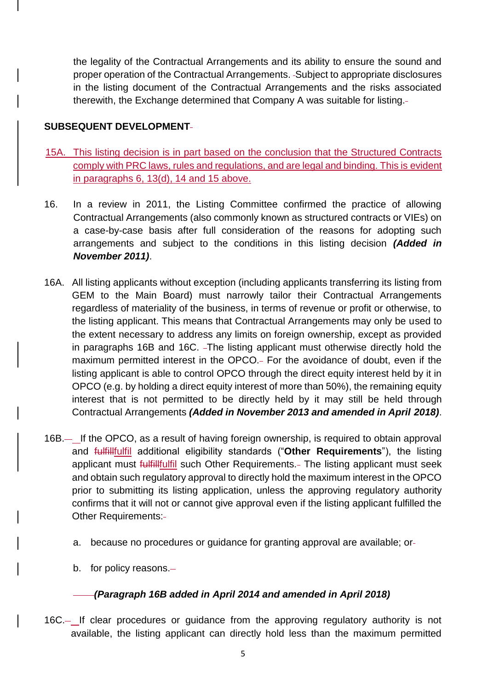the legality of the Contractual Arrangements and its ability to ensure the sound and proper operation of the Contractual Arrangements. Subject to appropriate disclosures in the listing document of the Contractual Arrangements and the risks associated therewith, the Exchange determined that Company A was suitable for listing.

# **SUBSEQUENT DEVELOPMENT**

- 15A. This listing decision is in part based on the conclusion that the Structured Contracts comply with PRC laws, rules and regulations, and are legal and binding. This is evident in paragraphs 6, 13(d), 14 and 15 above.
- 16. In a review in 2011, the Listing Committee confirmed the practice of allowing Contractual Arrangements (also commonly known as structured contracts or VIEs) on a case-by-case basis after full consideration of the reasons for adopting such arrangements and subject to the conditions in this listing decision *(Added in November 2011)*.
- 16A. All listing applicants without exception (including applicants transferring its listing from GEM to the Main Board) must narrowly tailor their Contractual Arrangements regardless of materiality of the business, in terms of revenue or profit or otherwise, to the listing applicant. This means that Contractual Arrangements may only be used to the extent necessary to address any limits on foreign ownership, except as provided in paragraphs 16B and 16C. The listing applicant must otherwise directly hold the maximum permitted interest in the OPCO. For the avoidance of doubt, even if the listing applicant is able to control OPCO through the direct equity interest held by it in OPCO (e.g. by holding a direct equity interest of more than 50%), the remaining equity interest that is not permitted to be directly held by it may still be held through Contractual Arrangements *(Added in November 2013 and amended in April 2018)*.
- 16B.— If the OPCO, as a result of having foreign ownership, is required to obtain approval and fulfillfulfil additional eligibility standards ("**Other Requirements**"), the listing applicant must *fulfillfulfil* such Other Requirements.- The listing applicant must seek and obtain such regulatory approval to directly hold the maximum interest in the OPCO prior to submitting its listing application, unless the approving regulatory authority confirms that it will not or cannot give approval even if the listing applicant fulfilled the Other Requirements:
	- a. because no procedures or guidance for granting approval are available; or
	- b. for policy reasons.

# *(Paragraph 16B added in April 2014 and amended in April 2018)*

16C.— If clear procedures or guidance from the approving regulatory authority is not available, the listing applicant can directly hold less than the maximum permitted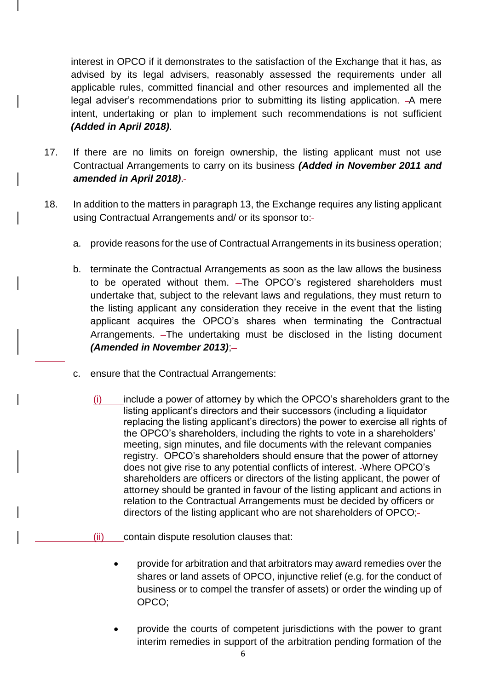interest in OPCO if it demonstrates to the satisfaction of the Exchange that it has, as advised by its legal advisers, reasonably assessed the requirements under all applicable rules, committed financial and other resources and implemented all the legal adviser's recommendations prior to submitting its listing application. - A mere intent, undertaking or plan to implement such recommendations is not sufficient *(Added in April 2018)*.

- 17. If there are no limits on foreign ownership, the listing applicant must not use Contractual Arrangements to carry on its business *(Added in November 2011 and amended in April 2018)*.
- 18. In addition to the matters in paragraph 13, the Exchange requires any listing applicant using Contractual Arrangements and/ or its sponsor to:
	- a. provide reasons for the use of Contractual Arrangements in its business operation;
	- b. terminate the Contractual Arrangements as soon as the law allows the business to be operated without them. The OPCO's registered shareholders must undertake that, subject to the relevant laws and regulations, they must return to the listing applicant any consideration they receive in the event that the listing applicant acquires the OPCO's shares when terminating the Contractual Arrangements. - The undertaking must be disclosed in the listing document *(Amended in November 2013)*;
	- c. ensure that the Contractual Arrangements:
		- $(i)$  include a power of attorney by which the OPCO's shareholders grant to the listing applicant's directors and their successors (including a liquidator replacing the listing applicant's directors) the power to exercise all rights of the OPCO's shareholders, including the rights to vote in a shareholders' meeting, sign minutes, and file documents with the relevant companies registry. -OPCO's shareholders should ensure that the power of attorney does not give rise to any potential conflicts of interest. Where OPCO's shareholders are officers or directors of the listing applicant, the power of attorney should be granted in favour of the listing applicant and actions in relation to the Contractual Arrangements must be decided by officers or directors of the listing applicant who are not shareholders of OPCO;
		- (ii) contain dispute resolution clauses that:
			- provide for arbitration and that arbitrators may award remedies over the shares or land assets of OPCO, injunctive relief (e.g. for the conduct of business or to compel the transfer of assets) or order the winding up of OPCO;
			- provide the courts of competent jurisdictions with the power to grant interim remedies in support of the arbitration pending formation of the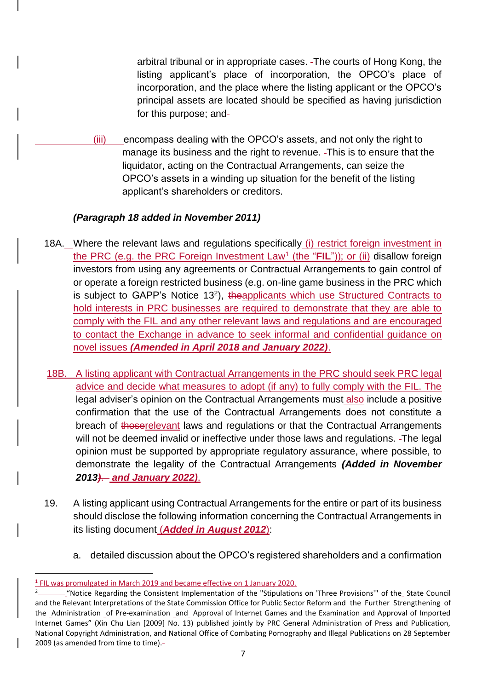arbitral tribunal or in appropriate cases. The courts of Hong Kong, the listing applicant's place of incorporation, the OPCO's place of incorporation, and the place where the listing applicant or the OPCO's principal assets are located should be specified as having jurisdiction for this purpose; and

(iii) encompass dealing with the OPCO's assets, and not only the right to manage its business and the right to revenue. This is to ensure that the liquidator, acting on the Contractual Arrangements, can seize the OPCO's assets in a winding up situation for the benefit of the listing applicant's shareholders or creditors.

# *(Paragraph 18 added in November 2011)*

- 18A. Where the relevant laws and regulations specifically (i) restrict foreign investment in the PRC (e.g. the PRC Foreign Investment Law<sup>1</sup> (the "FIL")); or (ii) disallow foreign investors from using any agreements or Contractual Arrangements to gain control of or operate a foreign restricted business (e.g. on-line game business in the PRC which is subject to GAPP's Notice 13<sup>2</sup>), theapplicants which use Structured Contracts to hold interests in PRC businesses are required to demonstrate that they are able to comply with the FIL and any other relevant laws and regulations and are encouraged to contact the Exchange in advance to seek informal and confidential guidance on novel issues *(Amended in April 2018 and January 2022)*.
- 18B. A listing applicant with Contractual Arrangements in the PRC should seek PRC legal advice and decide what measures to adopt (if any) to fully comply with the FIL. The legal adviser's opinion on the Contractual Arrangements must also include a positive confirmation that the use of the Contractual Arrangements does not constitute a breach of thoserelevant laws and regulations or that the Contractual Arrangements will not be deemed invalid or ineffective under those laws and regulations. The legal opinion must be supported by appropriate regulatory assurance, where possible, to demonstrate the legality of the Contractual Arrangements *(Added in November 2013)*. *and January 2022)*.
- 19. A listing applicant using Contractual Arrangements for the entire or part of its business should disclose the following information concerning the Contractual Arrangements in its listing document (*Added in August 2012*):
	- a. detailed discussion about the OPCO's registered shareholders and a confirmation

 $\overline{a}$ <sup>1</sup> FIL was promulgated in March 2019 and became effective on 1 January 2020.

<sup>2</sup> -"Notice Regarding the Consistent Implementation of the "Stipulations on 'Three Provisions'" of the State Council and the Relevant Interpretations of the State Commission Office for Public Sector Reform and the Further Strengthening of the \_Administration \_of Pre-examination \_and\_ Approval of Internet Games and the Examination and Approval of Imported Internet Games" (Xin Chu Lian [2009] No. 13) published jointly by PRC General Administration of Press and Publication, National Copyright Administration, and National Office of Combating Pornography and Illegal Publications on 28 September 2009 (as amended from time to time).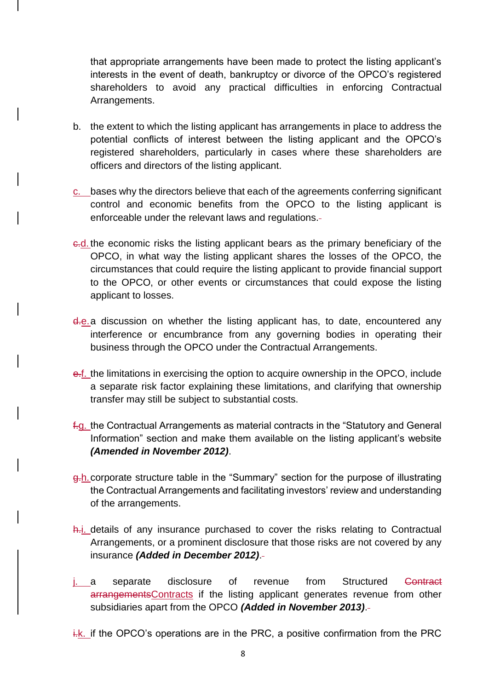that appropriate arrangements have been made to protect the listing applicant's interests in the event of death, bankruptcy or divorce of the OPCO's registered shareholders to avoid any practical difficulties in enforcing Contractual Arrangements.

- b. the extent to which the listing applicant has arrangements in place to address the potential conflicts of interest between the listing applicant and the OPCO's registered shareholders, particularly in cases where these shareholders are officers and directors of the listing applicant.
- c. bases why the directors believe that each of the agreements conferring significant control and economic benefits from the OPCO to the listing applicant is enforceable under the relevant laws and regulations.
- c.d. the economic risks the listing applicant bears as the primary beneficiary of the OPCO, in what way the listing applicant shares the losses of the OPCO, the circumstances that could require the listing applicant to provide financial support to the OPCO, or other events or circumstances that could expose the listing applicant to losses.
- d.e.a discussion on whether the listing applicant has, to date, encountered any interference or encumbrance from any governing bodies in operating their business through the OPCO under the Contractual Arrangements.
- e.f. the limitations in exercising the option to acquire ownership in the OPCO, include a separate risk factor explaining these limitations, and clarifying that ownership transfer may still be subject to substantial costs.
- f.g. the Contractual Arrangements as material contracts in the "Statutory and General Information" section and make them available on the listing applicant's website *(Amended in November 2012)*.
- g.h.corporate structure table in the "Summary" section for the purpose of illustrating the Contractual Arrangements and facilitating investors' review and understanding of the arrangements.
- h.*i.* details of any insurance purchased to cover the risks relating to Contractual Arrangements, or a prominent disclosure that those risks are not covered by any insurance *(Added in December 2012)*.
- i. a separate disclosure of revenue from Structured Contract arrangementsContracts if the listing applicant generates revenue from other subsidiaries apart from the OPCO *(Added in November 2013)*.
- $i$ .k. if the OPCO's operations are in the PRC, a positive confirmation from the PRC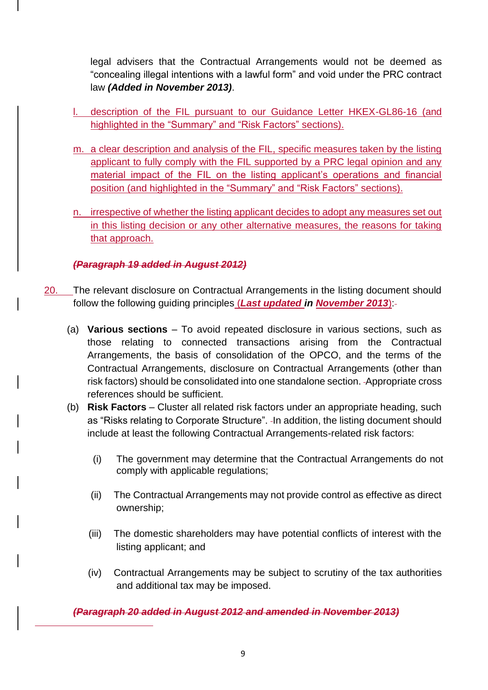legal advisers that the Contractual Arrangements would not be deemed as "concealing illegal intentions with a lawful form" and void under the PRC contract law *(Added in November 2013)*.

- description of the FIL pursuant to our Guidance Letter HKEX-GL86-16 (and highlighted in the "Summary" and "Risk Factors" sections).
- m. a clear description and analysis of the FIL, specific measures taken by the listing applicant to fully comply with the FIL supported by a PRC legal opinion and any material impact of the FIL on the listing applicant's operations and financial position (and highlighted in the "Summary" and "Risk Factors" sections).
- n. irrespective of whether the listing applicant decides to adopt any measures set out in this listing decision or any other alternative measures, the reasons for taking that approach.

# *(Paragraph 19 added in August 2012)*

- 20. The relevant disclosure on Contractual Arrangements in the listing document should follow the following guiding principles (*Last updated in November 2013*):
	- (a) **Various sections**  To avoid repeated disclosure in various sections, such as those relating to connected transactions arising from the Contractual Arrangements, the basis of consolidation of the OPCO, and the terms of the Contractual Arrangements, disclosure on Contractual Arrangements (other than risk factors) should be consolidated into one standalone section. Appropriate cross references should be sufficient.
	- (b) **Risk Factors**  Cluster all related risk factors under an appropriate heading, such as "Risks relating to Corporate Structure". In addition, the listing document should include at least the following Contractual Arrangements-related risk factors:
		- (i) The government may determine that the Contractual Arrangements do not comply with applicable regulations;
		- (ii) The Contractual Arrangements may not provide control as effective as direct ownership;
		- (iii) The domestic shareholders may have potential conflicts of interest with the listing applicant; and
		- (iv) Contractual Arrangements may be subject to scrutiny of the tax authorities and additional tax may be imposed.

*(Paragraph 20 added in August 2012 and amended in November 2013)*